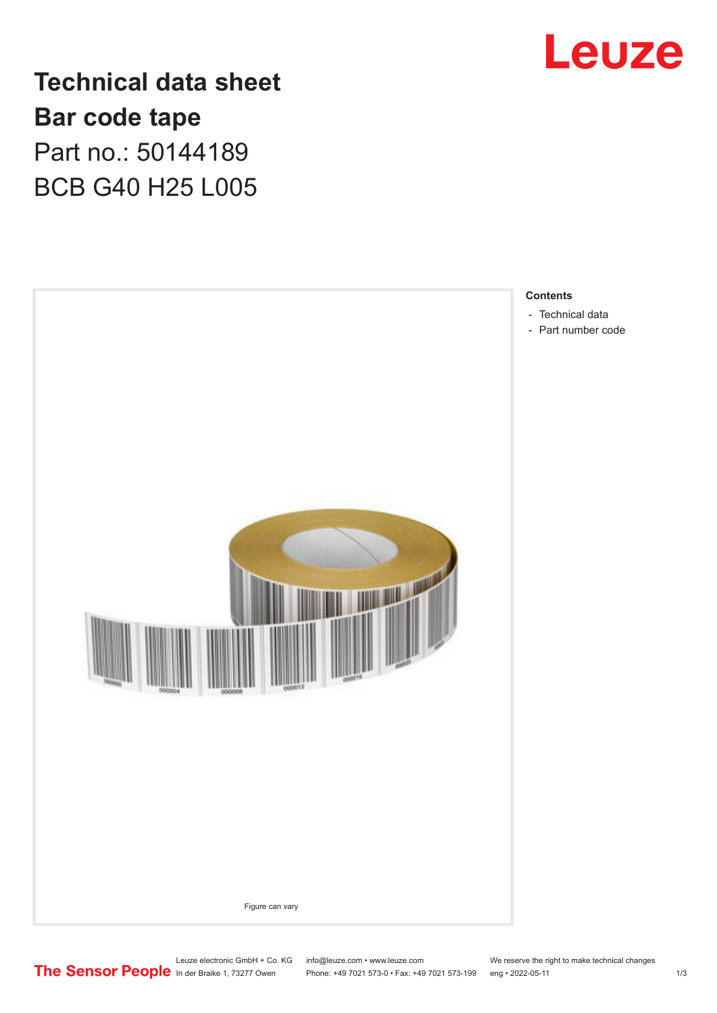

**Technical data sheet Bar code tape** Part no.: 50144189 BCB G40 H25 L005



- [Part number code](#page-1-0)

Leuze electronic GmbH + Co. KG info@leuze.com • www.leuze.com We reserve the right to make technical changes<br>
The Sensor People in der Braike 1, 73277 Owen Phone: +49 7021 573-0 • Fax: +49 7021 573-199 eng • 2022-05-11 Phone: +49 7021 573-0 • Fax: +49 7021 573-199 eng • 2022-05-11 1 2022-05-11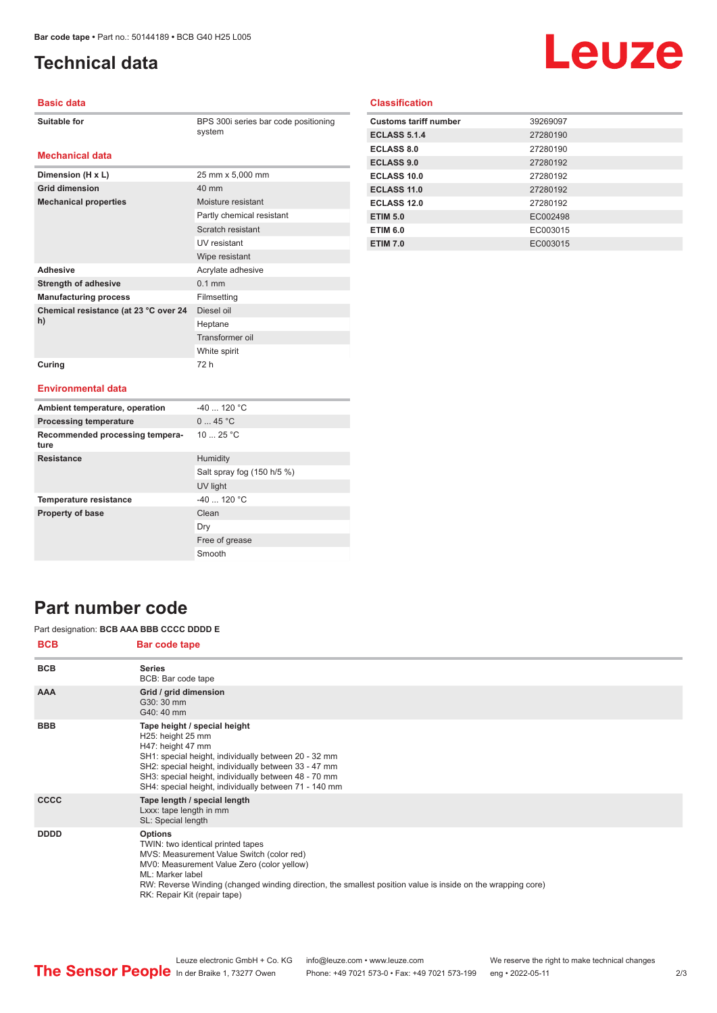# <span id="page-1-0"></span>**Technical data**

# Leuze

#### **Basic data**

| Suitable for |
|--------------|
|--------------|

BPS 300i series bar code positioning system

#### **Mechanical data**

| Dimension (H x L)                           | 25 mm x 5,000 mm          |
|---------------------------------------------|---------------------------|
| <b>Grid dimension</b>                       | 40 mm                     |
| <b>Mechanical properties</b>                | Moisture resistant        |
|                                             | Partly chemical resistant |
|                                             | Scratch resistant         |
|                                             | UV resistant              |
|                                             | Wipe resistant            |
| <b>Adhesive</b>                             | Acrylate adhesive         |
| <b>Strength of adhesive</b>                 | $0.1$ mm                  |
| <b>Manufacturing process</b>                | Filmsetting               |
| Chemical resistance (at 23 °C over 24<br>h) | Diesel oil                |
|                                             | Heptane                   |
|                                             | Transformer oil           |
|                                             | White spirit              |
| Curing                                      | 72 h                      |

#### **Classification**

| <b>Customs tariff number</b> | 39269097 |
|------------------------------|----------|
| <b>ECLASS 5.1.4</b>          | 27280190 |
| <b>ECLASS 8.0</b>            | 27280190 |
| <b>ECLASS 9.0</b>            | 27280192 |
| ECLASS 10.0                  | 27280192 |
| ECLASS 11.0                  | 27280192 |
| ECLASS 12.0                  | 27280192 |
| <b>ETIM 5.0</b>              | EC002498 |
| <b>ETIM 6.0</b>              | EC003015 |
| <b>ETIM 7.0</b>              | EC003015 |

#### **Environmental data**

| Ambient temperature, operation          | $-40$ 120 °C               |
|-----------------------------------------|----------------------------|
| <b>Processing temperature</b>           | 045 °C                     |
| Recommended processing tempera-<br>ture | 10 $25 °C$                 |
| <b>Resistance</b>                       | Humidity                   |
|                                         | Salt spray fog (150 h/5 %) |
|                                         | UV light                   |
| <b>Temperature resistance</b>           | $-40$ 120 °C               |
| <b>Property of base</b>                 | Clean                      |
|                                         | Dry                        |
|                                         | Free of grease             |
|                                         | Smooth                     |

### **Part number code**

#### Part designation: **BCB AAA BBB CCCC DDDD E**

| <b>BCB</b>  | <b>Bar code tape</b>                                                                                                                                                                                                                                                                                              |
|-------------|-------------------------------------------------------------------------------------------------------------------------------------------------------------------------------------------------------------------------------------------------------------------------------------------------------------------|
| <b>BCB</b>  | <b>Series</b><br>BCB: Bar code tape                                                                                                                                                                                                                                                                               |
| <b>AAA</b>  | Grid / grid dimension<br>G30: 30 mm<br>G40: 40 mm                                                                                                                                                                                                                                                                 |
| <b>BBB</b>  | Tape height / special height<br>H25: height 25 mm<br>H47: height 47 mm<br>SH1: special height, individually between 20 - 32 mm<br>SH2: special height, individually between 33 - 47 mm<br>SH3: special height, individually between 48 - 70 mm<br>SH4: special height, individually between 71 - 140 mm           |
| <b>CCCC</b> | Tape length / special length<br>Lxxx: tape length in mm<br>SL: Special length                                                                                                                                                                                                                                     |
| <b>DDDD</b> | <b>Options</b><br>TWIN: two identical printed tapes<br>MVS: Measurement Value Switch (color red)<br>MV0: Measurement Value Zero (color yellow)<br>ML: Marker label<br>RW: Reverse Winding (changed winding direction, the smallest position value is inside on the wrapping core)<br>RK: Repair Kit (repair tape) |